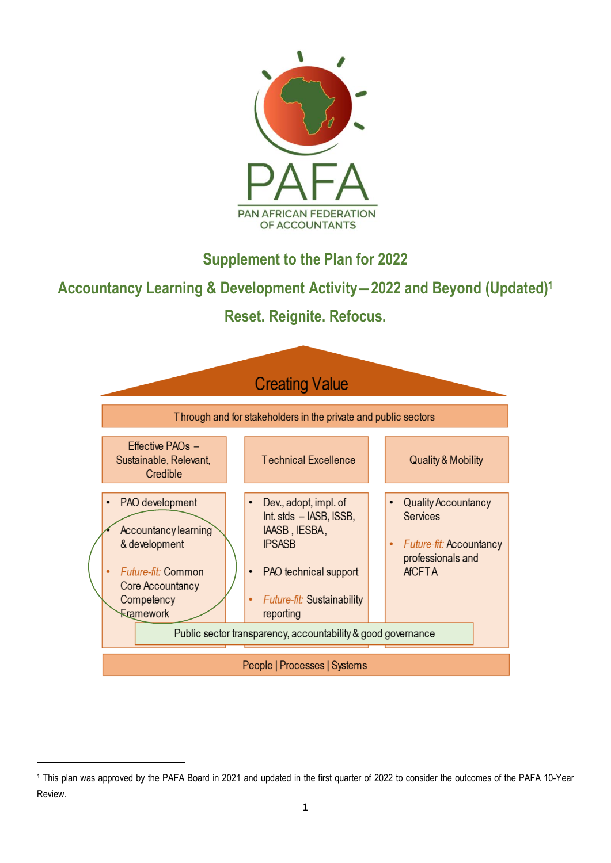

**Supplement to the Plan for 2022**

**Accountancy Learning & Development Activity―2022 and Beyond (Updated)<sup>1</sup>**

**Reset. Reignite. Refocus.**



<sup>1</sup> This plan was approved by the PAFA Board in 2021 and updated in the first quarter of 2022 to consider the outcomes of the PAFA 10-Year Review.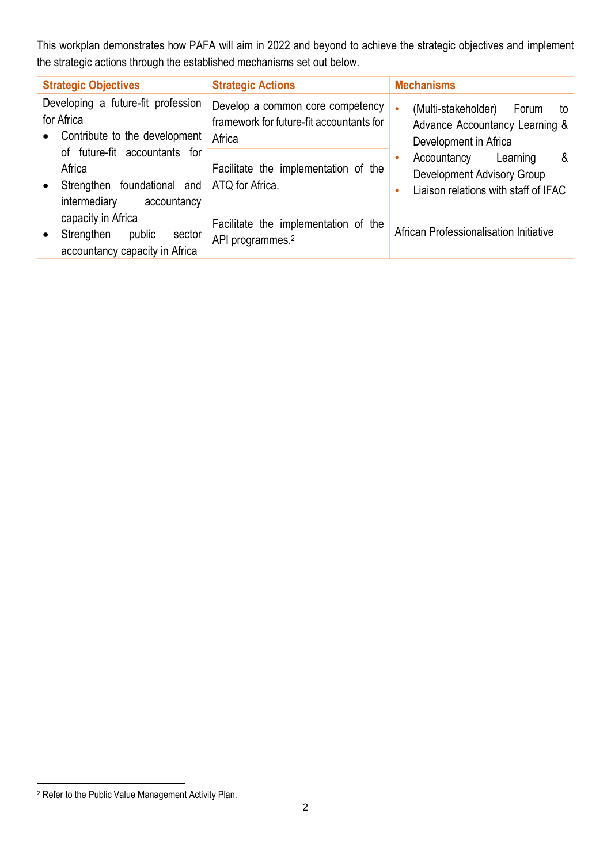This workplan demonstrates how PAFA will aim in 2022 and beyond to achieve the strategic objectives and implement the strategic actions through the established mechanisms set out below.

| <b>Strategic Objectives</b>                                                                                                        | <b>Strategic Actions</b>                                                               | <b>Mechanisms</b>                                                                                              |
|------------------------------------------------------------------------------------------------------------------------------------|----------------------------------------------------------------------------------------|----------------------------------------------------------------------------------------------------------------|
| Developing a future-fit profession<br>for Africa<br>Contribute to the development<br>$\bullet$                                     | Develop a common core competency<br>framework for future-fit accountants for<br>Africa | (Multi-stakeholder)<br>Forum<br>$\bullet$<br>to<br>Advance Accountancy Learning &<br>Development in Africa     |
| of future-fit accountants for<br>Africa<br>Strengthen foundational and ATQ for Africa.<br>$\bullet$<br>intermediary<br>accountancy | Facilitate the implementation of the                                                   | Accountancy<br>Learning<br>&<br><b>Development Advisory Group</b><br>Liaison relations with staff of IFAC<br>۰ |
| capacity in Africa<br>Strengthen<br>public<br>sector<br>$\bullet$<br>accountancy capacity in Africa                                | Facilitate the implementation of the<br>API programmes. <sup>2</sup>                   | African Professionalisation Initiative                                                                         |

<sup>&</sup>lt;sup>2</sup> Refer to the Public Value Management Activity Plan.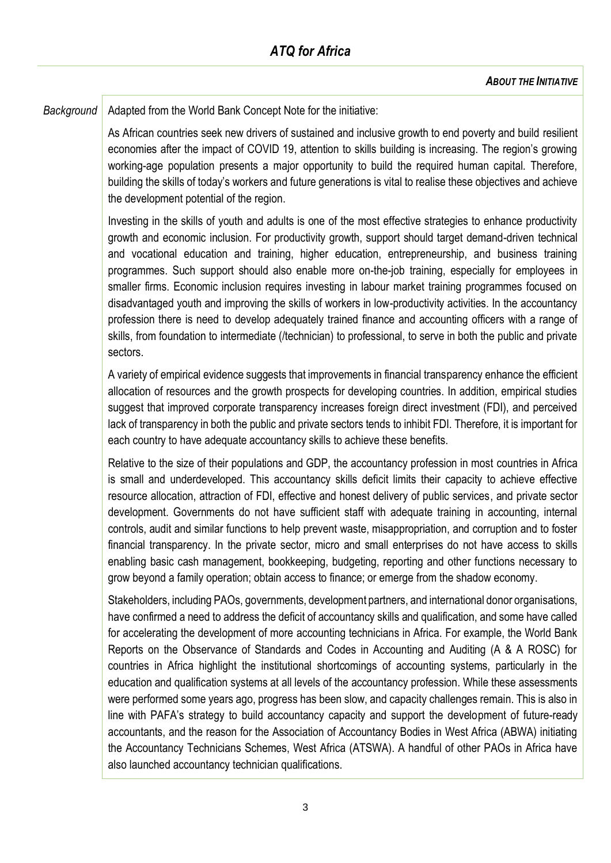*Background* | Adapted from the World Bank Concept Note for the initiative:

As African countries seek new drivers of sustained and inclusive growth to end poverty and build resilient economies after the impact of COVID 19, attention to skills building is increasing. The region's growing working-age population presents a major opportunity to build the required human capital. Therefore, building the skills of today's workers and future generations is vital to realise these objectives and achieve the development potential of the region.

Investing in the skills of youth and adults is one of the most effective strategies to enhance productivity growth and economic inclusion. For productivity growth, support should target demand-driven technical and vocational education and training, higher education, entrepreneurship, and business training programmes. Such support should also enable more on-the-job training, especially for employees in smaller firms. Economic inclusion requires investing in labour market training programmes focused on disadvantaged youth and improving the skills of workers in low-productivity activities. In the accountancy profession there is need to develop adequately trained finance and accounting officers with a range of skills, from foundation to intermediate (/technician) to professional, to serve in both the public and private sectors.

A variety of empirical evidence suggests that improvements in financial transparency enhance the efficient allocation of resources and the growth prospects for developing countries. In addition, empirical studies suggest that improved corporate transparency increases foreign direct investment (FDI), and perceived lack of transparency in both the public and private sectors tends to inhibit FDI. Therefore, it is important for each country to have adequate accountancy skills to achieve these benefits.

Relative to the size of their populations and GDP, the accountancy profession in most countries in Africa is small and underdeveloped. This accountancy skills deficit limits their capacity to achieve effective resource allocation, attraction of FDI, effective and honest delivery of public services, and private sector development. Governments do not have sufficient staff with adequate training in accounting, internal controls, audit and similar functions to help prevent waste, misappropriation, and corruption and to foster financial transparency. In the private sector, micro and small enterprises do not have access to skills enabling basic cash management, bookkeeping, budgeting, reporting and other functions necessary to grow beyond a family operation; obtain access to finance; or emerge from the shadow economy.

Stakeholders, including PAOs, governments, development partners, and international donor organisations, have confirmed a need to address the deficit of accountancy skills and qualification, and some have called for accelerating the development of more accounting technicians in Africa. For example, the World Bank Reports on the Observance of Standards and Codes in Accounting and Auditing (A & A ROSC) for countries in Africa highlight the institutional shortcomings of accounting systems, particularly in the education and qualification systems at all levels of the accountancy profession. While these assessments were performed some years ago, progress has been slow, and capacity challenges remain. This is also in line with PAFA's strategy to build accountancy capacity and support the development of future-ready accountants, and the reason for the Association of Accountancy Bodies in West Africa (ABWA) initiating the Accountancy Technicians Schemes, West Africa (ATSWA). A handful of other PAOs in Africa have also launched accountancy technician qualifications.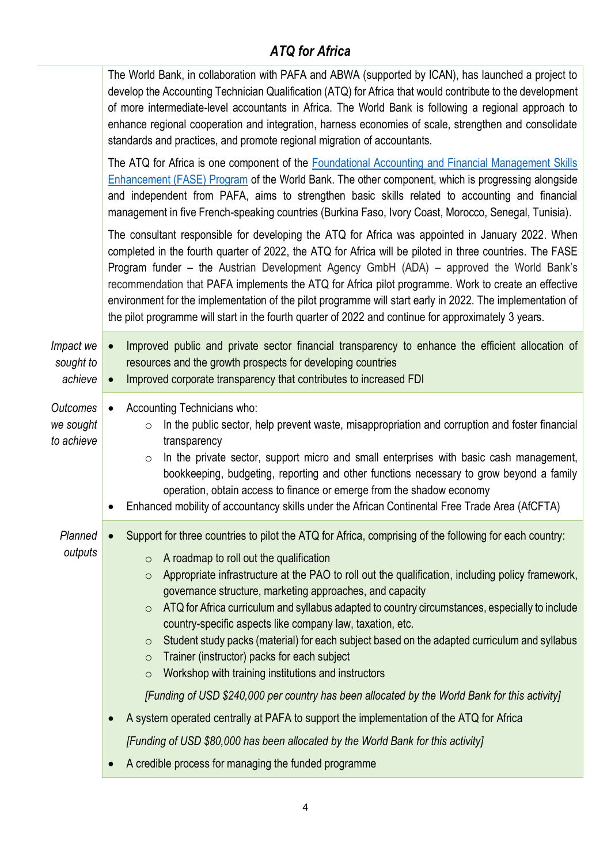|                                            |                        | The World Bank, in collaboration with PAFA and ABWA (supported by ICAN), has launched a project to<br>develop the Accounting Technician Qualification (ATQ) for Africa that would contribute to the development<br>of more intermediate-level accountants in Africa. The World Bank is following a regional approach to<br>enhance regional cooperation and integration, harness economies of scale, strengthen and consolidate<br>standards and practices, and promote regional migration of accountants.                                                                                                                                                                                                                                               |
|--------------------------------------------|------------------------|----------------------------------------------------------------------------------------------------------------------------------------------------------------------------------------------------------------------------------------------------------------------------------------------------------------------------------------------------------------------------------------------------------------------------------------------------------------------------------------------------------------------------------------------------------------------------------------------------------------------------------------------------------------------------------------------------------------------------------------------------------|
|                                            |                        | The ATQ for Africa is one component of the <b>Foundational Accounting and Financial Management Skills</b><br><b>Enhancement (FASE) Program of the World Bank. The other component, which is progressing alongside</b><br>and independent from PAFA, aims to strengthen basic skills related to accounting and financial<br>management in five French-speaking countries (Burkina Faso, Ivory Coast, Morocco, Senegal, Tunisia).                                                                                                                                                                                                                                                                                                                          |
|                                            |                        | The consultant responsible for developing the ATQ for Africa was appointed in January 2022. When<br>completed in the fourth quarter of 2022, the ATQ for Africa will be piloted in three countries. The FASE<br>Program funder – the Austrian Development Agency GmbH (ADA) – approved the World Bank's<br>recommendation that PAFA implements the ATQ for Africa pilot programme. Work to create an effective<br>environment for the implementation of the pilot programme will start early in 2022. The implementation of<br>the pilot programme will start in the fourth quarter of 2022 and continue for approximately 3 years.                                                                                                                      |
| Impact we<br>sought to<br>achieve          | $\bullet$<br>$\bullet$ | Improved public and private sector financial transparency to enhance the efficient allocation of<br>resources and the growth prospects for developing countries<br>Improved corporate transparency that contributes to increased FDI                                                                                                                                                                                                                                                                                                                                                                                                                                                                                                                     |
| <b>Outcomes</b><br>we sought<br>to achieve | $\bullet$<br>$\bullet$ | Accounting Technicians who:<br>In the public sector, help prevent waste, misappropriation and corruption and foster financial<br>$\circ$<br>transparency<br>In the private sector, support micro and small enterprises with basic cash management,<br>$\circ$<br>bookkeeping, budgeting, reporting and other functions necessary to grow beyond a family<br>operation, obtain access to finance or emerge from the shadow economy<br>Enhanced mobility of accountancy skills under the African Continental Free Trade Area (AfCFTA)                                                                                                                                                                                                                      |
| Planned<br>outputs                         |                        | Support for three countries to pilot the ATQ for Africa, comprising of the following for each country:<br>A roadmap to roll out the qualification<br>$\circ$<br>Appropriate infrastructure at the PAO to roll out the qualification, including policy framework,<br>$\circ$<br>governance structure, marketing approaches, and capacity<br>ATQ for Africa curriculum and syllabus adapted to country circumstances, especially to include<br>$\circ$<br>country-specific aspects like company law, taxation, etc.<br>Student study packs (material) for each subject based on the adapted curriculum and syllabus<br>$\circ$<br>Trainer (instructor) packs for each subject<br>$\circ$<br>Workshop with training institutions and instructors<br>$\circ$ |
|                                            |                        | [Funding of USD \$240,000 per country has been allocated by the World Bank for this activity]                                                                                                                                                                                                                                                                                                                                                                                                                                                                                                                                                                                                                                                            |
|                                            | $\bullet$              | A system operated centrally at PAFA to support the implementation of the ATQ for Africa                                                                                                                                                                                                                                                                                                                                                                                                                                                                                                                                                                                                                                                                  |
|                                            |                        | [Funding of USD \$80,000 has been allocated by the World Bank for this activity]                                                                                                                                                                                                                                                                                                                                                                                                                                                                                                                                                                                                                                                                         |
|                                            | $\bullet$              | A credible process for managing the funded programme                                                                                                                                                                                                                                                                                                                                                                                                                                                                                                                                                                                                                                                                                                     |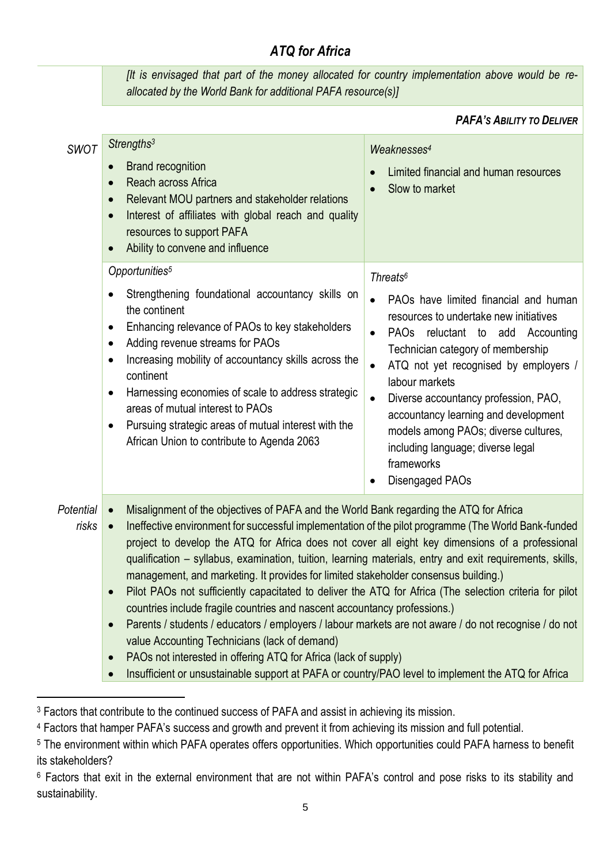*[It is envisaged that part of the money allocated for country implementation above would be reallocated by the World Bank for additional PAFA resource(s)]*

#### *PAFA'S ABILITY TO DELIVER*

| <b>SWOT</b>        | Strengths <sup>3</sup><br><b>Brand recognition</b><br>$\bullet$<br>Reach across Africa<br>$\bullet$<br>Relevant MOU partners and stakeholder relations<br>$\bullet$<br>Interest of affiliates with global reach and quality<br>$\bullet$<br>resources to support PAFA<br>Ability to convene and influence                                                                                                                                                                                                                                                                                                                                                                                                                                                                                                                                                                                                                                                                    | Weaknesses <sup>4</sup><br>Limited financial and human resources<br>Slow to market                                                                                                                                                                                                                                                                                                                                                                                  |
|--------------------|------------------------------------------------------------------------------------------------------------------------------------------------------------------------------------------------------------------------------------------------------------------------------------------------------------------------------------------------------------------------------------------------------------------------------------------------------------------------------------------------------------------------------------------------------------------------------------------------------------------------------------------------------------------------------------------------------------------------------------------------------------------------------------------------------------------------------------------------------------------------------------------------------------------------------------------------------------------------------|---------------------------------------------------------------------------------------------------------------------------------------------------------------------------------------------------------------------------------------------------------------------------------------------------------------------------------------------------------------------------------------------------------------------------------------------------------------------|
|                    | Opportunities <sup>5</sup><br>Strengthening foundational accountancy skills on<br>the continent<br>Enhancing relevance of PAOs to key stakeholders<br>٠<br>Adding revenue streams for PAOs<br>$\bullet$<br>Increasing mobility of accountancy skills across the<br>$\bullet$<br>continent<br>Harnessing economies of scale to address strategic<br>$\bullet$<br>areas of mutual interest to PAOs<br>Pursuing strategic areas of mutual interest with the<br>$\bullet$<br>African Union to contribute to Agenda 2063                                                                                                                                                                                                                                                                                                                                                                                                                                                          | Threats <sup>6</sup><br>PAOs have limited financial and human<br>resources to undertake new initiatives<br>PAOs reluctant to add Accounting<br>Technician category of membership<br>ATQ not yet recognised by employers /<br>$\bullet$<br>labour markets<br>Diverse accountancy profession, PAO,<br>$\bullet$<br>accountancy learning and development<br>models among PAOs; diverse cultures,<br>including language; diverse legal<br>frameworks<br>Disengaged PAOs |
| Potential<br>risks | Misalignment of the objectives of PAFA and the World Bank regarding the ATQ for Africa<br>$\bullet$<br>Ineffective environment for successful implementation of the pilot programme (The World Bank-funded<br>$\bullet$<br>project to develop the ATQ for Africa does not cover all eight key dimensions of a professional<br>qualification - syllabus, examination, tuition, learning materials, entry and exit requirements, skills,<br>management, and marketing. It provides for limited stakeholder consensus building.)<br>Pilot PAOs not sufficiently capacitated to deliver the ATQ for Africa (The selection criteria for pilot<br>$\bullet$<br>countries include fragile countries and nascent accountancy professions.)<br>Parents / students / educators / employers / labour markets are not aware / do not recognise / do not<br>$\bullet$<br>value Accounting Technicians (lack of demand)<br>PAOs not interested in offering ATQ for Africa (lack of supply) |                                                                                                                                                                                                                                                                                                                                                                                                                                                                     |

• Insufficient or unsustainable support at PAFA or country/PAO level to implement the ATQ for Africa

<sup>&</sup>lt;sup>3</sup> Factors that contribute to the continued success of PAFA and assist in achieving its mission.

<sup>4</sup> Factors that hamper PAFA's success and growth and prevent it from achieving its mission and full potential.

<sup>5</sup> The environment within which PAFA operates offers opportunities. Which opportunities could PAFA harness to benefit its stakeholders?

<sup>6</sup> Factors that exit in the external environment that are not within PAFA's control and pose risks to its stability and sustainability.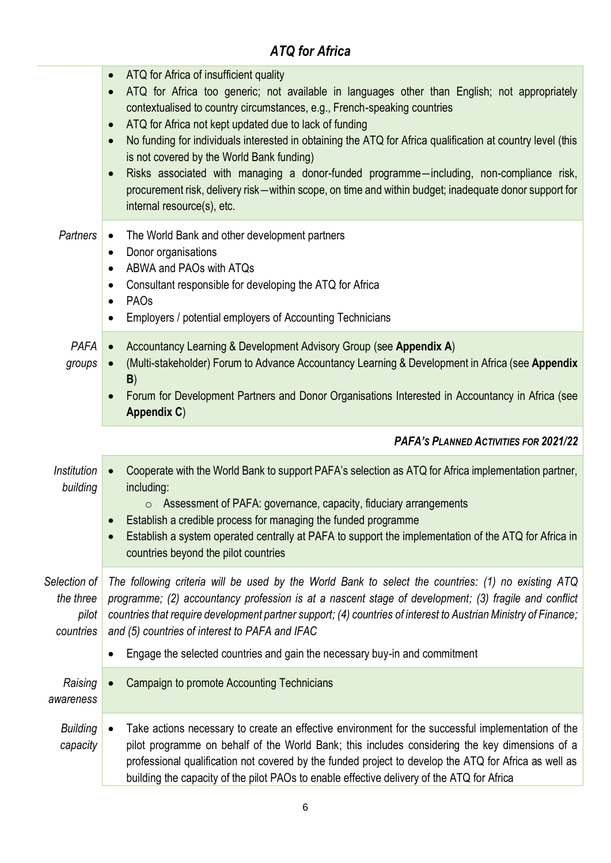|                                                 | ATQ for Africa of insufficient quality<br>$\bullet$<br>ATQ for Africa too generic; not available in languages other than English; not appropriately<br>$\bullet$<br>contextualised to country circumstances, e.g., French-speaking countries<br>ATQ for Africa not kept updated due to lack of funding<br>$\bullet$<br>No funding for individuals interested in obtaining the ATQ for Africa qualification at country level (this<br>$\bullet$<br>is not covered by the World Bank funding)<br>Risks associated with managing a donor-funded programme-including, non-compliance risk,<br>$\bullet$<br>procurement risk, delivery risk-within scope, on time and within budget; inadequate donor support for<br>internal resource(s), etc. |  |
|-------------------------------------------------|--------------------------------------------------------------------------------------------------------------------------------------------------------------------------------------------------------------------------------------------------------------------------------------------------------------------------------------------------------------------------------------------------------------------------------------------------------------------------------------------------------------------------------------------------------------------------------------------------------------------------------------------------------------------------------------------------------------------------------------------|--|
| Partners                                        | The World Bank and other development partners<br>$\bullet$<br>Donor organisations<br>$\bullet$<br>ABWA and PAOs with ATQs<br>$\bullet$<br>Consultant responsible for developing the ATQ for Africa<br>$\bullet$<br>PAO <sub>s</sub><br>$\bullet$<br>Employers / potential employers of Accounting Technicians<br>$\bullet$                                                                                                                                                                                                                                                                                                                                                                                                                 |  |
| <b>PAFA</b><br>groups                           | Accountancy Learning & Development Advisory Group (see Appendix A)<br>$\bullet$<br>(Multi-stakeholder) Forum to Advance Accountancy Learning & Development in Africa (see Appendix<br>B)<br>Forum for Development Partners and Donor Organisations Interested in Accountancy in Africa (see<br>Appendix C)                                                                                                                                                                                                                                                                                                                                                                                                                                 |  |
|                                                 | <b>PAFA's PLANNED ACTIVITIES FOR 2021/22</b>                                                                                                                                                                                                                                                                                                                                                                                                                                                                                                                                                                                                                                                                                               |  |
| <b>Institution</b><br>building                  | Cooperate with the World Bank to support PAFA's selection as ATQ for Africa implementation partner,<br>$\bullet$<br>including:<br>Assessment of PAFA: governance, capacity, fiduciary arrangements<br>$\circ$<br>Establish a credible process for managing the funded programme<br>Establish a system operated centrally at PAFA to support the implementation of the ATQ for Africa in<br>$\bullet$<br>countries beyond the pilot countries                                                                                                                                                                                                                                                                                               |  |
| Selection of<br>the three<br>pilot<br>countries | The following criteria will be used by the World Bank to select the countries: (1) no existing ATQ<br>programme; (2) accountancy profession is at a nascent stage of development; (3) fragile and conflict<br>countries that require development partner support; (4) countries of interest to Austrian Ministry of Finance;<br>and (5) countries of interest to PAFA and IFAC<br>Engage the selected countries and gain the necessary buy-in and commitment<br>$\bullet$                                                                                                                                                                                                                                                                  |  |
| Raising<br>awareness                            | Campaign to promote Accounting Technicians                                                                                                                                                                                                                                                                                                                                                                                                                                                                                                                                                                                                                                                                                                 |  |
| <b>Building</b><br>capacity                     | Take actions necessary to create an effective environment for the successful implementation of the<br>$\bullet$<br>pilot programme on behalf of the World Bank; this includes considering the key dimensions of a<br>professional qualification not covered by the funded project to develop the ATQ for Africa as well as<br>building the capacity of the pilot PAOs to enable effective delivery of the ATQ for Africa                                                                                                                                                                                                                                                                                                                   |  |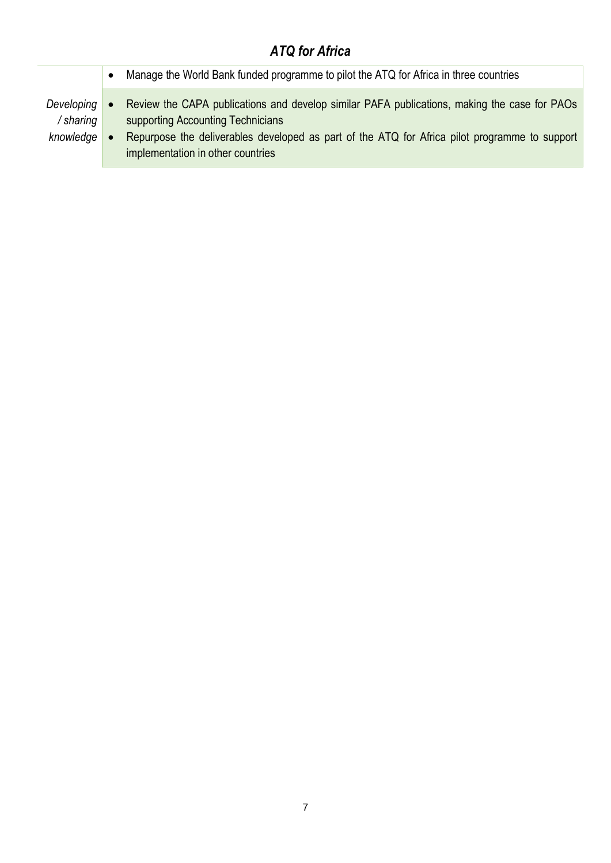|                                      | Manage the World Bank funded programme to pilot the ATQ for Africa in three countries                                                                                                                                                                                   |
|--------------------------------------|-------------------------------------------------------------------------------------------------------------------------------------------------------------------------------------------------------------------------------------------------------------------------|
| Developing<br>/ sharing<br>knowledge | Review the CAPA publications and develop similar PAFA publications, making the case for PAOs<br>supporting Accounting Technicians<br>Repurpose the deliverables developed as part of the ATQ for Africa pilot programme to support<br>implementation in other countries |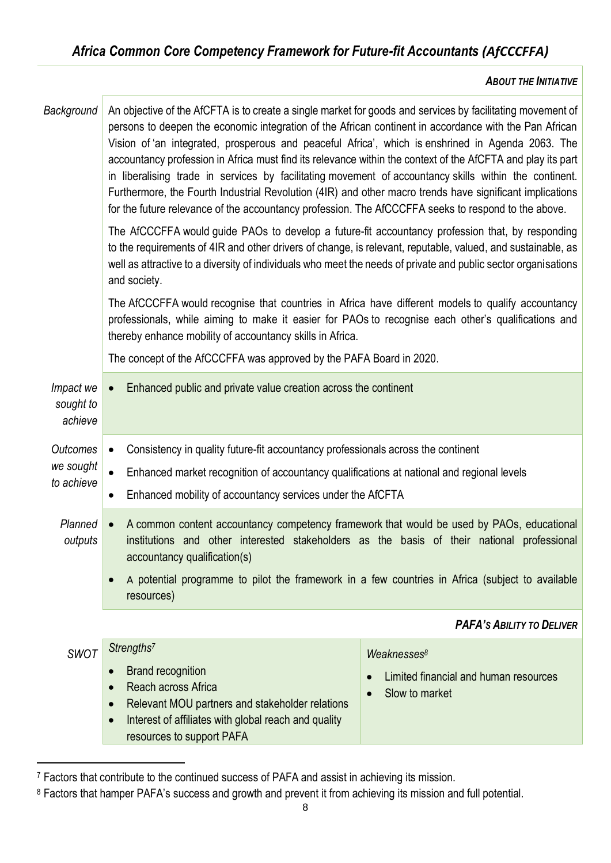#### *ABOUT THE INITIATIVE*

| Background                        | An objective of the AfCFTA is to create a single market for goods and services by facilitating movement of<br>persons to deepen the economic integration of the African continent in accordance with the Pan African<br>Vision of 'an integrated, prosperous and peaceful Africa', which is enshrined in Agenda 2063. The<br>accountancy profession in Africa must find its relevance within the context of the AfCFTA and play its part<br>in liberalising trade in services by facilitating movement of accountancy skills within the continent.<br>Furthermore, the Fourth Industrial Revolution (4IR) and other macro trends have significant implications<br>for the future relevance of the accountancy profession. The AfCCCFFA seeks to respond to the above.<br>The AfCCCFFA would guide PAOs to develop a future-fit accountancy profession that, by responding<br>to the requirements of 4IR and other drivers of change, is relevant, reputable, valued, and sustainable, as<br>well as attractive to a diversity of individuals who meet the needs of private and public sector organisations<br>and society.<br>The AfCCCFFA would recognise that countries in Africa have different models to qualify accountancy<br>professionals, while aiming to make it easier for PAOs to recognise each other's qualifications and<br>thereby enhance mobility of accountancy skills in Africa.<br>The concept of the AfCCCFFA was approved by the PAFA Board in 2020. |                                       |  |
|-----------------------------------|-----------------------------------------------------------------------------------------------------------------------------------------------------------------------------------------------------------------------------------------------------------------------------------------------------------------------------------------------------------------------------------------------------------------------------------------------------------------------------------------------------------------------------------------------------------------------------------------------------------------------------------------------------------------------------------------------------------------------------------------------------------------------------------------------------------------------------------------------------------------------------------------------------------------------------------------------------------------------------------------------------------------------------------------------------------------------------------------------------------------------------------------------------------------------------------------------------------------------------------------------------------------------------------------------------------------------------------------------------------------------------------------------------------------------------------------------------------------------------|---------------------------------------|--|
| Impact we<br>sought to<br>achieve | Enhanced public and private value creation across the continent<br>$\bullet$                                                                                                                                                                                                                                                                                                                                                                                                                                                                                                                                                                                                                                                                                                                                                                                                                                                                                                                                                                                                                                                                                                                                                                                                                                                                                                                                                                                                |                                       |  |
| <b>Outcomes</b>                   | Consistency in quality future-fit accountancy professionals across the continent<br>$\bullet$                                                                                                                                                                                                                                                                                                                                                                                                                                                                                                                                                                                                                                                                                                                                                                                                                                                                                                                                                                                                                                                                                                                                                                                                                                                                                                                                                                               |                                       |  |
| we sought                         | Enhanced market recognition of accountancy qualifications at national and regional levels                                                                                                                                                                                                                                                                                                                                                                                                                                                                                                                                                                                                                                                                                                                                                                                                                                                                                                                                                                                                                                                                                                                                                                                                                                                                                                                                                                                   |                                       |  |
| to achieve                        | Enhanced mobility of accountancy services under the AfCFTA<br>٠                                                                                                                                                                                                                                                                                                                                                                                                                                                                                                                                                                                                                                                                                                                                                                                                                                                                                                                                                                                                                                                                                                                                                                                                                                                                                                                                                                                                             |                                       |  |
| Planned<br>outputs                | A common content accountancy competency framework that would be used by PAOs, educational<br>$\bullet$<br>institutions and other interested stakeholders as the basis of their national professional<br>accountancy qualification(s)<br>A potential programme to pilot the framework in a few countries in Africa (subject to available                                                                                                                                                                                                                                                                                                                                                                                                                                                                                                                                                                                                                                                                                                                                                                                                                                                                                                                                                                                                                                                                                                                                     |                                       |  |
|                                   | resources)                                                                                                                                                                                                                                                                                                                                                                                                                                                                                                                                                                                                                                                                                                                                                                                                                                                                                                                                                                                                                                                                                                                                                                                                                                                                                                                                                                                                                                                                  |                                       |  |
|                                   |                                                                                                                                                                                                                                                                                                                                                                                                                                                                                                                                                                                                                                                                                                                                                                                                                                                                                                                                                                                                                                                                                                                                                                                                                                                                                                                                                                                                                                                                             | <b>PAFA'S ABILITY TO DELIVER</b>      |  |
| <b>SWOT</b>                       | Strengths <sup>7</sup>                                                                                                                                                                                                                                                                                                                                                                                                                                                                                                                                                                                                                                                                                                                                                                                                                                                                                                                                                                                                                                                                                                                                                                                                                                                                                                                                                                                                                                                      | Weaknesses <sup>8</sup>               |  |
|                                   | <b>Brand recognition</b><br>$\bullet$                                                                                                                                                                                                                                                                                                                                                                                                                                                                                                                                                                                                                                                                                                                                                                                                                                                                                                                                                                                                                                                                                                                                                                                                                                                                                                                                                                                                                                       | Limited financial and human resources |  |
|                                   | Reach across Africa<br>$\bullet$<br>Relevant MOU partners and stakeholder relations<br>$\bullet$                                                                                                                                                                                                                                                                                                                                                                                                                                                                                                                                                                                                                                                                                                                                                                                                                                                                                                                                                                                                                                                                                                                                                                                                                                                                                                                                                                            | Slow to market                        |  |
|                                   | Interest of affiliates with global reach and quality<br>$\bullet$                                                                                                                                                                                                                                                                                                                                                                                                                                                                                                                                                                                                                                                                                                                                                                                                                                                                                                                                                                                                                                                                                                                                                                                                                                                                                                                                                                                                           |                                       |  |

resources to support PAFA

<sup>7</sup> Factors that contribute to the continued success of PAFA and assist in achieving its mission.

<sup>8</sup> Factors that hamper PAFA's success and growth and prevent it from achieving its mission and full potential.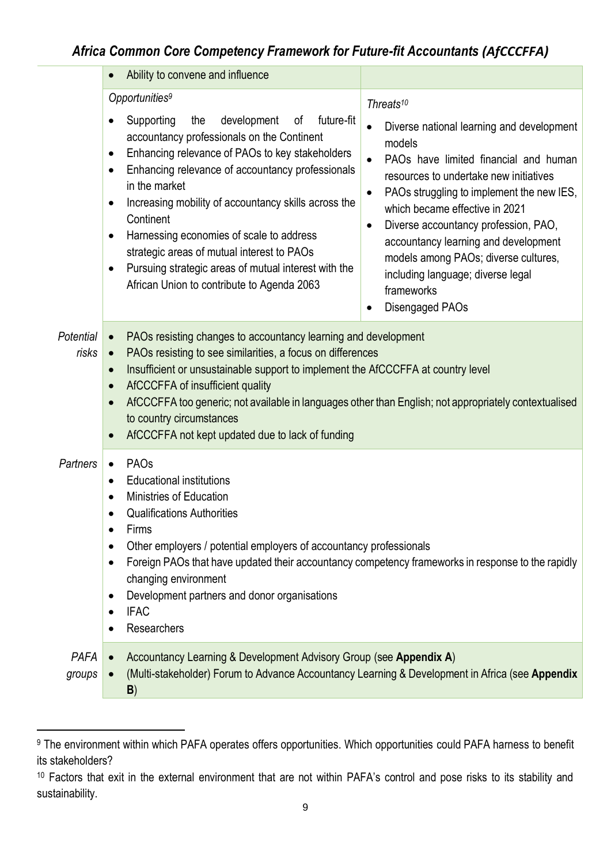# *Africa Common Core Competency Framework for Future-fit Accountants (AfCCCFFA)*

|                       | Ability to convene and influence<br>$\bullet$                                                                                                                                                                                                                                                                                                                                                                                                                                                                                                                                               |                                                                                                                                                                                                                                                                                                                                                                                                                                                                                                               |
|-----------------------|---------------------------------------------------------------------------------------------------------------------------------------------------------------------------------------------------------------------------------------------------------------------------------------------------------------------------------------------------------------------------------------------------------------------------------------------------------------------------------------------------------------------------------------------------------------------------------------------|---------------------------------------------------------------------------------------------------------------------------------------------------------------------------------------------------------------------------------------------------------------------------------------------------------------------------------------------------------------------------------------------------------------------------------------------------------------------------------------------------------------|
|                       | Opportunities <sup>9</sup><br>Supporting<br>development<br>of<br>future-fit<br>the<br>$\bullet$<br>accountancy professionals on the Continent<br>Enhancing relevance of PAOs to key stakeholders<br>$\bullet$<br>Enhancing relevance of accountancy professionals<br>٠<br>in the market<br>Increasing mobility of accountancy skills across the<br>$\bullet$<br>Continent<br>Harnessing economies of scale to address<br>$\bullet$<br>strategic areas of mutual interest to PAOs<br>Pursuing strategic areas of mutual interest with the<br>٠<br>African Union to contribute to Agenda 2063 | Threats <sup>10</sup><br>Diverse national learning and development<br>$\bullet$<br>models<br>PAOs have limited financial and human<br>$\bullet$<br>resources to undertake new initiatives<br>PAOs struggling to implement the new IES,<br>$\bullet$<br>which became effective in 2021<br>Diverse accountancy profession, PAO,<br>$\bullet$<br>accountancy learning and development<br>models among PAOs; diverse cultures,<br>including language; diverse legal<br>frameworks<br>Disengaged PAOs<br>$\bullet$ |
| Potential<br>risks    | PAOs resisting changes to accountancy learning and development<br>$\bullet$<br>PAOs resisting to see similarities, a focus on differences<br>$\bullet$<br>Insufficient or unsustainable support to implement the AfCCCFFA at country level<br>$\bullet$<br>AfCCCFFA of insufficient quality<br>$\bullet$<br>AfCCCFFA too generic; not available in languages other than English; not appropriately contextualised<br>$\bullet$<br>to country circumstances<br>AfCCCFFA not kept updated due to lack of funding<br>$\bullet$                                                                 |                                                                                                                                                                                                                                                                                                                                                                                                                                                                                                               |
| <b>Partners</b>       | <b>PAOs</b><br>$\bullet$<br><b>Educational institutions</b><br>$\bullet$<br>Ministries of Education<br><b>Qualifications Authorities</b><br>Firms<br>٠<br>Other employers / potential employers of accountancy professionals<br>Foreign PAOs that have updated their accountancy competency frameworks in response to the rapidly<br>$\bullet$<br>changing environment<br>Development partners and donor organisations<br>$\bullet$<br><b>IFAC</b><br>$\bullet$<br>Researchers<br>$\bullet$                                                                                                 |                                                                                                                                                                                                                                                                                                                                                                                                                                                                                                               |
| <b>PAFA</b><br>groups | Accountancy Learning & Development Advisory Group (see Appendix A)<br>$\bullet$<br>(Multi-stakeholder) Forum to Advance Accountancy Learning & Development in Africa (see Appendix<br>B)                                                                                                                                                                                                                                                                                                                                                                                                    |                                                                                                                                                                                                                                                                                                                                                                                                                                                                                                               |

<sup>9</sup> The environment within which PAFA operates offers opportunities. Which opportunities could PAFA harness to benefit its stakeholders?

10 Factors that exit in the external environment that are not within PAFA's control and pose risks to its stability and sustainability.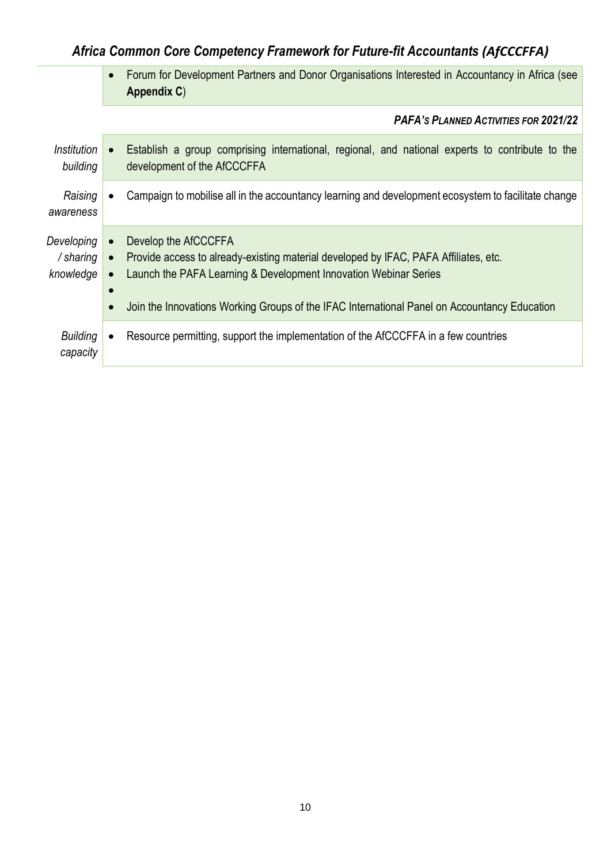# *Africa Common Core Competency Framework for Future-fit Accountants (AfCCCFFA)*

• Forum for Development Partners and Donor Organisations Interested in Accountancy in Africa (see **Appendix C**)

*PAFA'S PLANNED ACTIVITIES FOR 2021/22*

| Institution<br>building              |           | Establish a group comprising international, regional, and national experts to contribute to the<br>development of the AfCCCFFA                                                                                                                                                   |
|--------------------------------------|-----------|----------------------------------------------------------------------------------------------------------------------------------------------------------------------------------------------------------------------------------------------------------------------------------|
| Raising<br>awareness                 |           | Campaign to mobilise all in the accountancy learning and development ecosystem to facilitate change                                                                                                                                                                              |
| Developing<br>/ sharing<br>knowledge | $\bullet$ | Develop the AfCCCFFA<br>Provide access to already-existing material developed by IFAC, PAFA Affiliates, etc.<br>Launch the PAFA Learning & Development Innovation Webinar Series<br>Join the Innovations Working Groups of the IFAC International Panel on Accountancy Education |
| <b>Building</b><br>capacity          |           | Resource permitting, support the implementation of the AfCCCFFA in a few countries                                                                                                                                                                                               |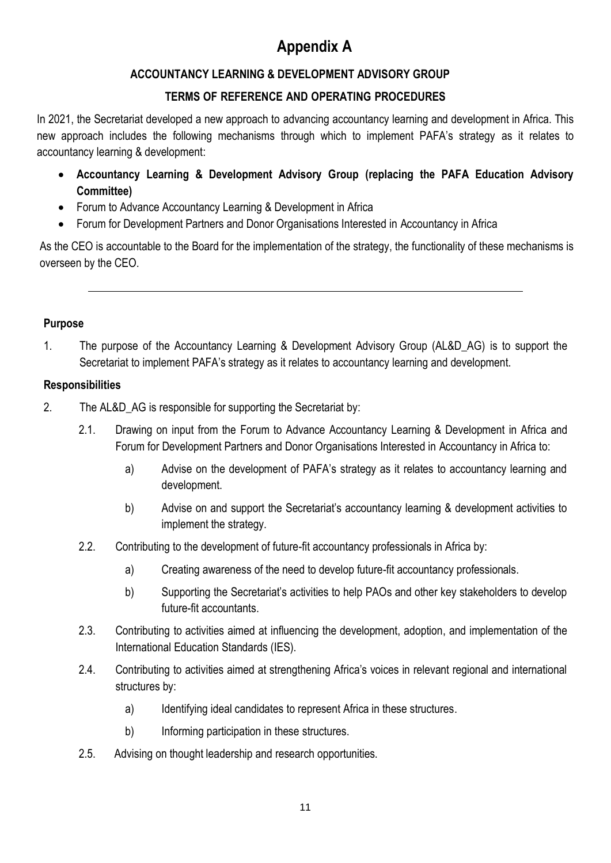# **Appendix A**

# **ACCOUNTANCY LEARNING & DEVELOPMENT ADVISORY GROUP**

# **TERMS OF REFERENCE AND OPERATING PROCEDURES**

In 2021, the Secretariat developed a new approach to advancing accountancy learning and development in Africa. This new approach includes the following mechanisms through which to implement PAFA's strategy as it relates to accountancy learning & development:

- **Accountancy Learning & Development Advisory Group (replacing the PAFA Education Advisory Committee)**
- Forum to Advance Accountancy Learning & Development in Africa
- Forum for Development Partners and Donor Organisations Interested in Accountancy in Africa

As the CEO is accountable to the Board for the implementation of the strategy, the functionality of these mechanisms is overseen by the CEO.

### **Purpose**

1. The purpose of the Accountancy Learning & Development Advisory Group (AL&D\_AG) is to support the Secretariat to implement PAFA's strategy as it relates to accountancy learning and development.

#### **Responsibilities**

- 2. The AL&D\_AG is responsible for supporting the Secretariat by:
	- 2.1. Drawing on input from the Forum to Advance Accountancy Learning & Development in Africa and Forum for Development Partners and Donor Organisations Interested in Accountancy in Africa to:
		- a) Advise on the development of PAFA's strategy as it relates to accountancy learning and development.
		- b) Advise on and support the Secretariat's accountancy learning & development activities to implement the strategy.
	- 2.2. Contributing to the development of future-fit accountancy professionals in Africa by:
		- a) Creating awareness of the need to develop future-fit accountancy professionals.
		- b) Supporting the Secretariat's activities to help PAOs and other key stakeholders to develop future-fit accountants.
	- 2.3. Contributing to activities aimed at influencing the development, adoption, and implementation of the International Education Standards (IES).
	- 2.4. Contributing to activities aimed at strengthening Africa's voices in relevant regional and international structures by:
		- a) Identifying ideal candidates to represent Africa in these structures.
		- b) Informing participation in these structures.
	- 2.5. Advising on thought leadership and research opportunities.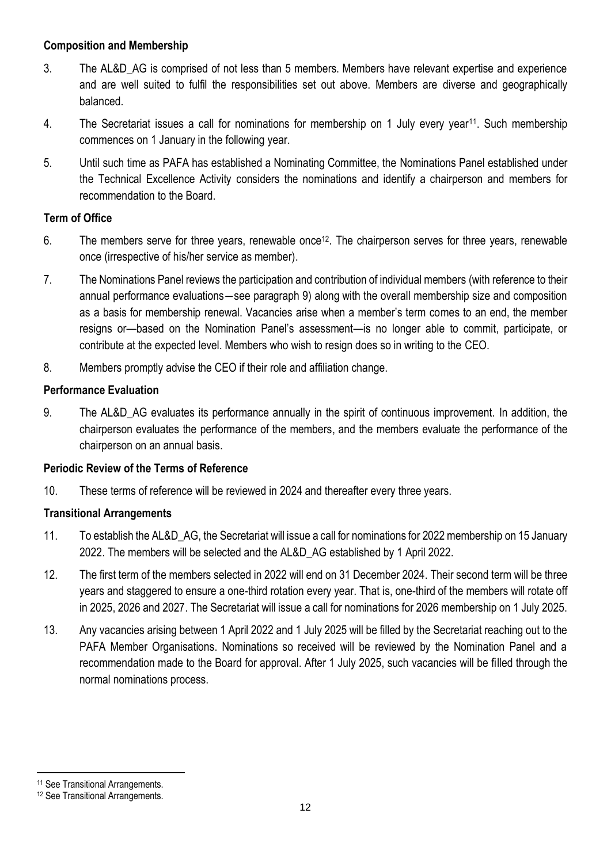#### **Composition and Membership**

- 3. The AL&D\_AG is comprised of not less than 5 members. Members have relevant expertise and experience and are well suited to fulfil the responsibilities set out above. Members are diverse and geographically balanced.
- 4. The Secretariat issues a call for nominations for membership on 1 July every year11. Such membership commences on 1 January in the following year.
- 5. Until such time as PAFA has established a Nominating Committee, the Nominations Panel established under the Technical Excellence Activity considers the nominations and identify a chairperson and members for recommendation to the Board.

#### **Term of Office**

- 6. The members serve for three years, renewable once<sup>12</sup>. The chairperson serves for three years, renewable once (irrespective of his/her service as member).
- 7. The Nominations Panel reviews the participation and contribution of individual members (with reference to their annual performance evaluations―see paragraph 9) along with the overall membership size and composition as a basis for membership renewal. Vacancies arise when a member's term comes to an end, the member resigns or—based on the Nomination Panel's assessment—is no longer able to commit, participate, or contribute at the expected level. Members who wish to resign does so in writing to the CEO.
- 8. Members promptly advise the CEO if their role and affiliation change.

### **Performance Evaluation**

9. The AL&D\_AG evaluates its performance annually in the spirit of continuous improvement. In addition, the chairperson evaluates the performance of the members, and the members evaluate the performance of the chairperson on an annual basis.

### **Periodic Review of the Terms of Reference**

10. These terms of reference will be reviewed in 2024 and thereafter every three years.

### **Transitional Arrangements**

- 11. To establish the AL&D\_AG, the Secretariat will issue a call for nominations for 2022 membership on 15 January 2022. The members will be selected and the AL&D\_AG established by 1 April 2022.
- 12. The first term of the members selected in 2022 will end on 31 December 2024. Their second term will be three years and staggered to ensure a one-third rotation every year. That is, one-third of the members will rotate off in 2025, 2026 and 2027. The Secretariat will issue a call for nominations for 2026 membership on 1 July 2025.
- 13. Any vacancies arising between 1 April 2022 and 1 July 2025 will be filled by the Secretariat reaching out to the PAFA Member Organisations. Nominations so received will be reviewed by the Nomination Panel and a recommendation made to the Board for approval. After 1 July 2025, such vacancies will be filled through the normal nominations process.

<sup>11</sup> See Transitional Arrangements.

<sup>12</sup> See Transitional Arrangements.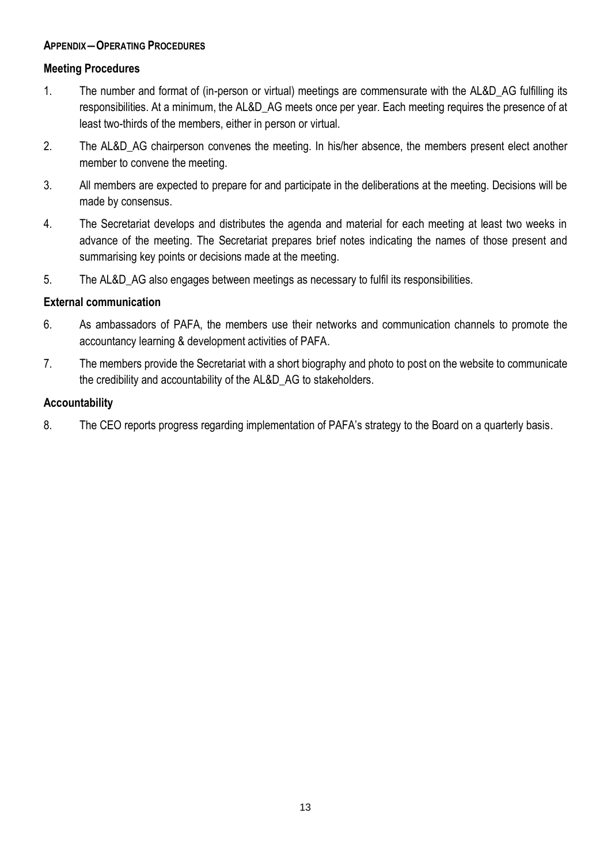#### **APPENDIX―OPERATING PROCEDURES**

#### **Meeting Procedures**

- 1. The number and format of (in-person or virtual) meetings are commensurate with the AL&D\_AG fulfilling its responsibilities. At a minimum, the AL&D\_AG meets once per year. Each meeting requires the presence of at least two-thirds of the members, either in person or virtual.
- 2. The AL&D AG chairperson convenes the meeting. In his/her absence, the members present elect another member to convene the meeting.
- 3. All members are expected to prepare for and participate in the deliberations at the meeting. Decisions will be made by consensus.
- 4. The Secretariat develops and distributes the agenda and material for each meeting at least two weeks in advance of the meeting. The Secretariat prepares brief notes indicating the names of those present and summarising key points or decisions made at the meeting.
- 5. The AL&D\_AG also engages between meetings as necessary to fulfil its responsibilities.

#### **External communication**

- 6. As ambassadors of PAFA, the members use their networks and communication channels to promote the accountancy learning & development activities of PAFA.
- 7. The members provide the Secretariat with a short biography and photo to post on the website to communicate the credibility and accountability of the AL&D\_AG to stakeholders.

#### **Accountability**

8. The CEO reports progress regarding implementation of PAFA's strategy to the Board on a quarterly basis.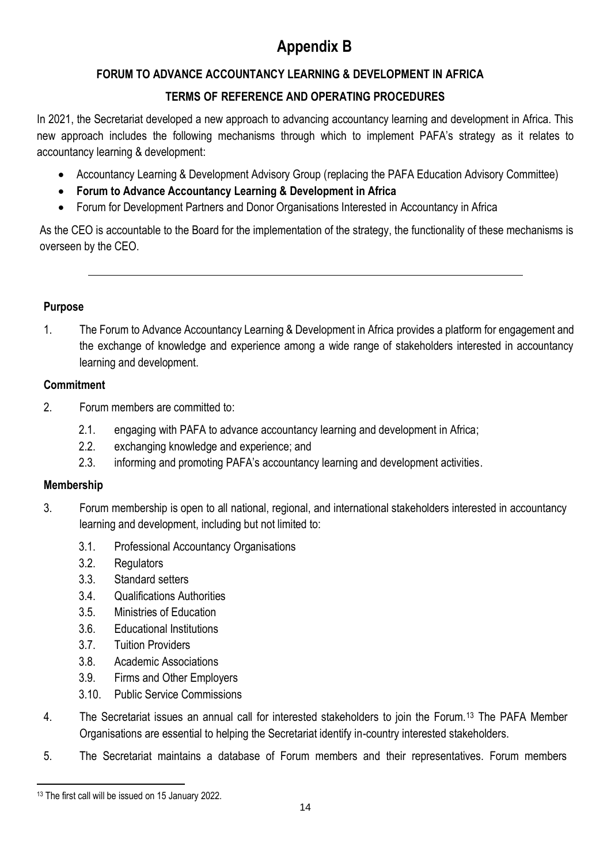# **Appendix B**

# **FORUM TO ADVANCE ACCOUNTANCY LEARNING & DEVELOPMENT IN AFRICA**

# **TERMS OF REFERENCE AND OPERATING PROCEDURES**

In 2021, the Secretariat developed a new approach to advancing accountancy learning and development in Africa. This new approach includes the following mechanisms through which to implement PAFA's strategy as it relates to accountancy learning & development:

- Accountancy Learning & Development Advisory Group (replacing the PAFA Education Advisory Committee)
- **Forum to Advance Accountancy Learning & Development in Africa**
- Forum for Development Partners and Donor Organisations Interested in Accountancy in Africa

As the CEO is accountable to the Board for the implementation of the strategy, the functionality of these mechanisms is overseen by the CEO.

#### **Purpose**

1. The Forum to Advance Accountancy Learning & Development in Africa provides a platform for engagement and the exchange of knowledge and experience among a wide range of stakeholders interested in accountancy learning and development.

#### **Commitment**

- 2. Forum members are committed to:
	- 2.1. engaging with PAFA to advance accountancy learning and development in Africa;
	- 2.2. exchanging knowledge and experience; and
	- 2.3. informing and promoting PAFA's accountancy learning and development activities.

### **Membership**

- 3. Forum membership is open to all national, regional, and international stakeholders interested in accountancy learning and development, including but not limited to:
	- 3.1. Professional Accountancy Organisations
	- 3.2. Regulators
	- 3.3. Standard setters
	- 3.4. Qualifications Authorities
	- 3.5. Ministries of Education
	- 3.6. Educational Institutions
	- 3.7. Tuition Providers
	- 3.8. Academic Associations
	- 3.9. Firms and Other Employers
	- 3.10. Public Service Commissions
- 4. The Secretariat issues an annual call for interested stakeholders to join the Forum.<sup>13</sup> The PAFA Member Organisations are essential to helping the Secretariat identify in-country interested stakeholders.
- 5. The Secretariat maintains a database of Forum members and their representatives. Forum members

<sup>13</sup> The first call will be issued on 15 January 2022.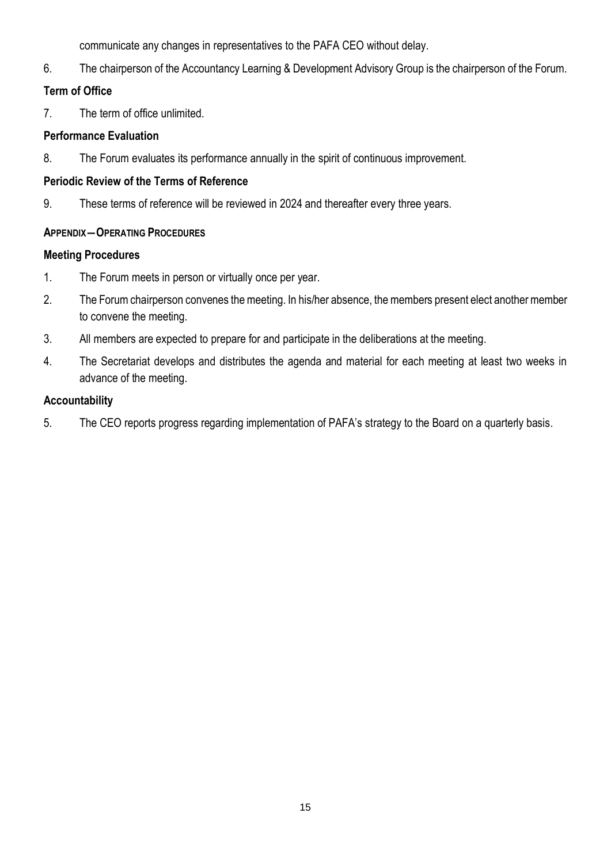communicate any changes in representatives to the PAFA CEO without delay.

6. The chairperson of the Accountancy Learning & Development Advisory Group is the chairperson of the Forum.

# **Term of Office**

7. The term of office unlimited.

## **Performance Evaluation**

8. The Forum evaluates its performance annually in the spirit of continuous improvement.

## **Periodic Review of the Terms of Reference**

9. These terms of reference will be reviewed in 2024 and thereafter every three years.

# **APPENDIX―OPERATING PROCEDURES**

# **Meeting Procedures**

- 1. The Forum meets in person or virtually once per year.
- 2. The Forum chairperson convenes the meeting. In his/her absence, the members present elect another member to convene the meeting.
- 3. All members are expected to prepare for and participate in the deliberations at the meeting.
- 4. The Secretariat develops and distributes the agenda and material for each meeting at least two weeks in advance of the meeting.

# **Accountability**

5. The CEO reports progress regarding implementation of PAFA's strategy to the Board on a quarterly basis.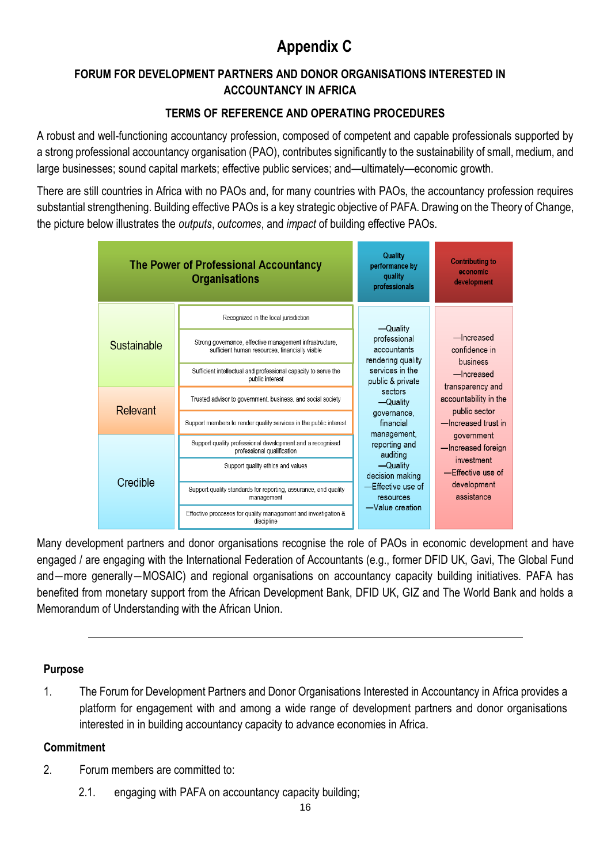# **Appendix C**

# **FORUM FOR DEVELOPMENT PARTNERS AND DONOR ORGANISATIONS INTERESTED IN ACCOUNTANCY IN AFRICA**

# **TERMS OF REFERENCE AND OPERATING PROCEDURES**

A robust and well-functioning accountancy profession, composed of competent and capable professionals supported by a strong professional accountancy organisation (PAO), contributes significantly to the sustainability of small, medium, and large businesses; sound capital markets; effective public services; and—ultimately—economic growth.

There are still countries in Africa with no PAOs and, for many countries with PAOs, the accountancy profession requires substantial strengthening. Building effective PAOs is a key strategic objective of PAFA. Drawing on the Theory of Change, the picture below illustrates the *outputs*, *outcomes*, and *impact* of building effective PAOs.



Many development partners and donor organisations recognise the role of PAOs in economic development and have engaged / are engaging with the International Federation of Accountants (e.g., former DFID UK, Gavi, The Global Fund and―more generally―MOSAIC) and regional organisations on accountancy capacity building initiatives. PAFA has benefited from monetary support from the African Development Bank, DFID UK, GIZ and The World Bank and holds a Memorandum of Understanding with the African Union.

# **Purpose**

1. The Forum for Development Partners and Donor Organisations Interested in Accountancy in Africa provides a platform for engagement with and among a wide range of development partners and donor organisations interested in in building accountancy capacity to advance economies in Africa.

### **Commitment**

- 2. Forum members are committed to:
	- 2.1. engaging with PAFA on accountancy capacity building;